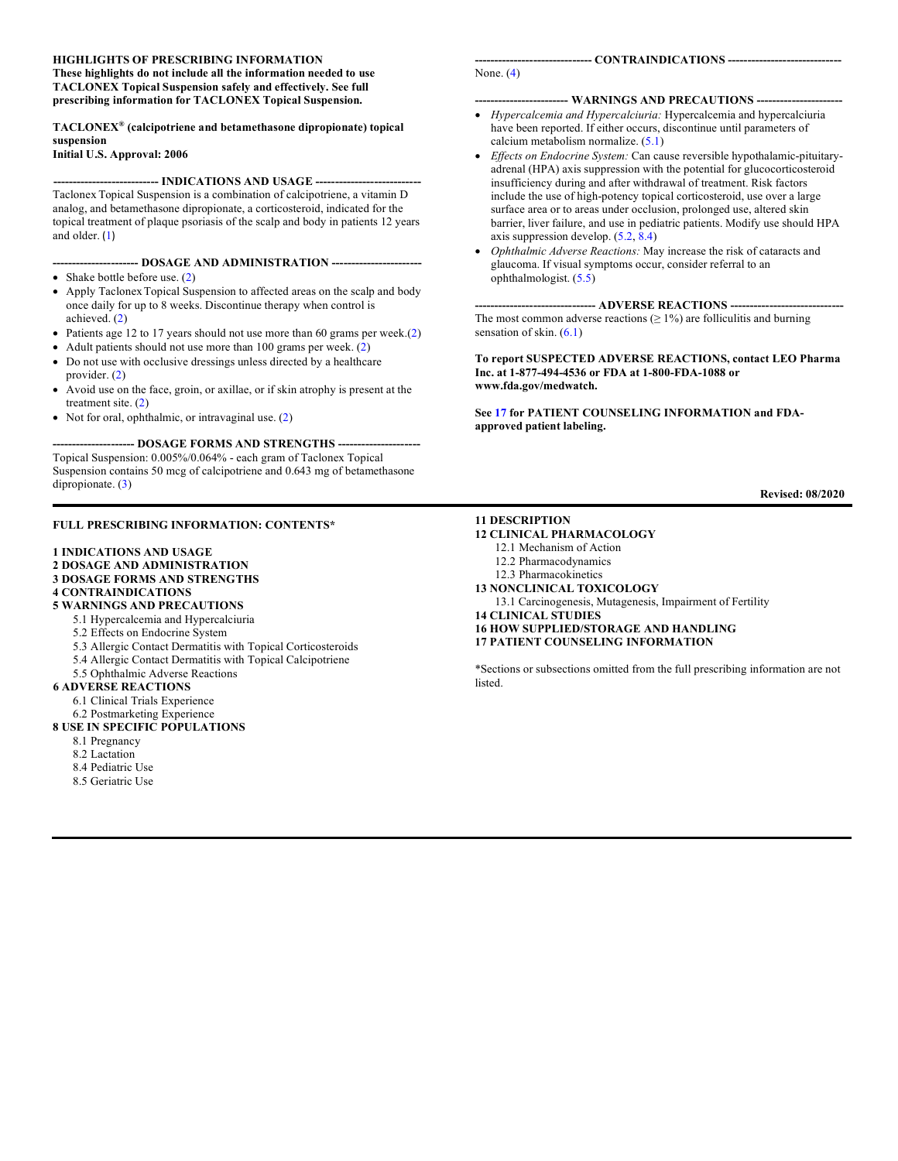#### **HIGHLIGHTS OF PRESCRIBING INFORMATION**

**These highlights do not include all the information needed to use TACLONEX Topical Suspension safely and effectively. See full prescribing information for TACLONEX Topical Suspension.**

#### **TACLONEX® (calcipotriene and betamethasone dipropionate) topical suspension**

**Initial U.S. Approval: 2006**

#### ----- INDICATIONS AND USAGE ----

Taclonex Topical Suspension is a combination of calcipotriene, a vitamin D analog, and betamethasone dipropionate, a corticosteroid, indicated for the topical treatment of plaque psoriasis of the scalp and body in patients 12 years and older. ([1](#page-1-0))

#### **---------------------- DOSAGE AND ADMINISTRATION -----------------------**

- Shake bottle before use. [\(2\)](#page-1-1)
- Apply Taclonex Topical Suspension to affected areas on the scalp and body once daily for up to 8 weeks. Discontinue therapy when control is achieved. [\(2\)](#page-1-1)
- Patients age 12 to 17 years should not use more than 60 grams per week.[\(2\)](#page-1-1)
- Adult patients should not use more than 100 grams per week. [\(2\)](#page-1-1)
- Do not use with occlusive dressings unless directed by a healthcare provider. [\(2\)](#page-1-1)
- Avoid use on the face, groin, or axillae, or if skin atrophy is present at the treatment site. [\(2\)](#page-1-1)
- Not for oral, ophthalmic, or intravaginal use. [\(2\)](#page-1-1)

#### --- DOSAGE FORMS AND STRENGTHS ----

Topical Suspension: 0.005%/0.064% - each gram of Taclonex Topical Suspension contains 50 mcg of calcipotriene and 0.643 mg of betamethasone dipropionate. [\(3\)](#page-1-2)

#### **FULL PRESCRIBING INFORMATION: CONTENTS\***

#### **[1 INDICATIONS AND USAGE](#page-1-0)**

- **[2 DOSAGE AND ADMINISTRATION](#page-1-1)**
- **3 DOSAGE FORMS [AND STRENGTHS](#page-1-2)**

#### **[4 CONTRAINDICATIONS](#page-1-3)**

- **[5 WARNINGS AND PRECAUTIONS](#page-1-4)**
	- [5.1 Hypercalcemia and Hypercalciuria](#page-1-5)
	- [5.2 Effects on Endocrine System](#page-1-6)
	- [5.3 Allergic Contact Dermatitis with Topical Corticosteroids](#page-2-0)
	- [5.4 Allergic Contact Dermatitis with Topical Calcipotriene](#page-2-1)
	- [5.5 Ophthalmic Adverse Reactions](#page-2-2)

#### **[6 ADVERSE REACTIONS](#page-2-3)**

- [6.1 Clinical Trials Experience](#page-2-4)
- [6.2 Postmarketing Experience](#page-3-0)

#### **[8 USE IN SPECIFIC POPULATIONS](#page-3-1)**

- [8.1 Pregnancy](#page-3-2)
- [8.2 Lactation](#page-4-0)
- [8.4 Pediatric Use](#page-4-1)
- [8.5 Geriatric Use](#page-5-0)

# None. [\(4\)](#page-1-3)

#### **------------------------ WARNINGS AND PRECAUTIONS ----------------------**

- *Hypercalcemia and Hypercalciuria:* Hypercalcemia and hypercalciuria have been reported. If either occurs, discontinue until parameters of calcium metabolism normalize. [\(5.1\)](#page-1-5)
- *Effects on Endocrine System:* Can cause reversible hypothalamic-pituitaryadrenal (HPA) axis suppression with the potential for glucocorticosteroid insufficiency during and after withdrawal of treatment. Risk factors include the use of high-potency topical corticosteroid, use over a large surface area or to areas under occlusion, prolonged use, altered skin barrier, liver failure, and use in pediatric patients. Modify use should HPA axis suppression develop. [\(5.2,](#page-1-6) [8.4\)](#page-4-1)
- *Ophthalmic Adverse Reactions:* May increase the risk of cataracts and glaucoma. If visual symptoms occur, consider referral to an ophthalmologist. [\(5.5\)](#page-2-2)

---- ADVERSE REACTIONS ----The most common adverse reactions  $(≥ 1%)$  are folliculitis and burning sensation of skin. [\(6.1\)](#page-2-4)

#### **To report SUSPECTED ADVERSE REACTIONS, contact LEO Pharma Inc. at 1-877-494-4536 or FDA at 1-800-FDA-1088 or www.fda.gov/medwatch.**

**Se[e 17](#page-9-0) for PATIENT COUNSELING INFORMATION and FDAapproved patient labeling.** 

**Revised: 08/2020**

#### **[11 DESCRIPTION](#page-5-1)**

#### **[12 CLINICAL PHARMACOLOGY](#page-6-0)**

- [12.1 Mechanism of Action](#page-6-1)
- [12.2 Pharmacodynamics](#page-6-2)
- [12.3 Pharmacokinetics](#page-6-3)
- **[13 NONCLINICAL TOXICOLOGY](#page-7-0)**
- [13.1 Carcinogenesis, Mutagenesis, Impairment of Fertility](#page-7-1)
- **[14 CLINICAL STUDIES](#page-8-0) [16 HOW SUPPLIED/STORAGE AND HANDLING](#page-8-1)**

**[17 PATIENT COUNSELING INFORMATION](#page-9-0)**

\*Sections or subsections omitted from the full prescribing information are not listed.

**------------------------------ CONTRAINDICATIONS -----------------------------**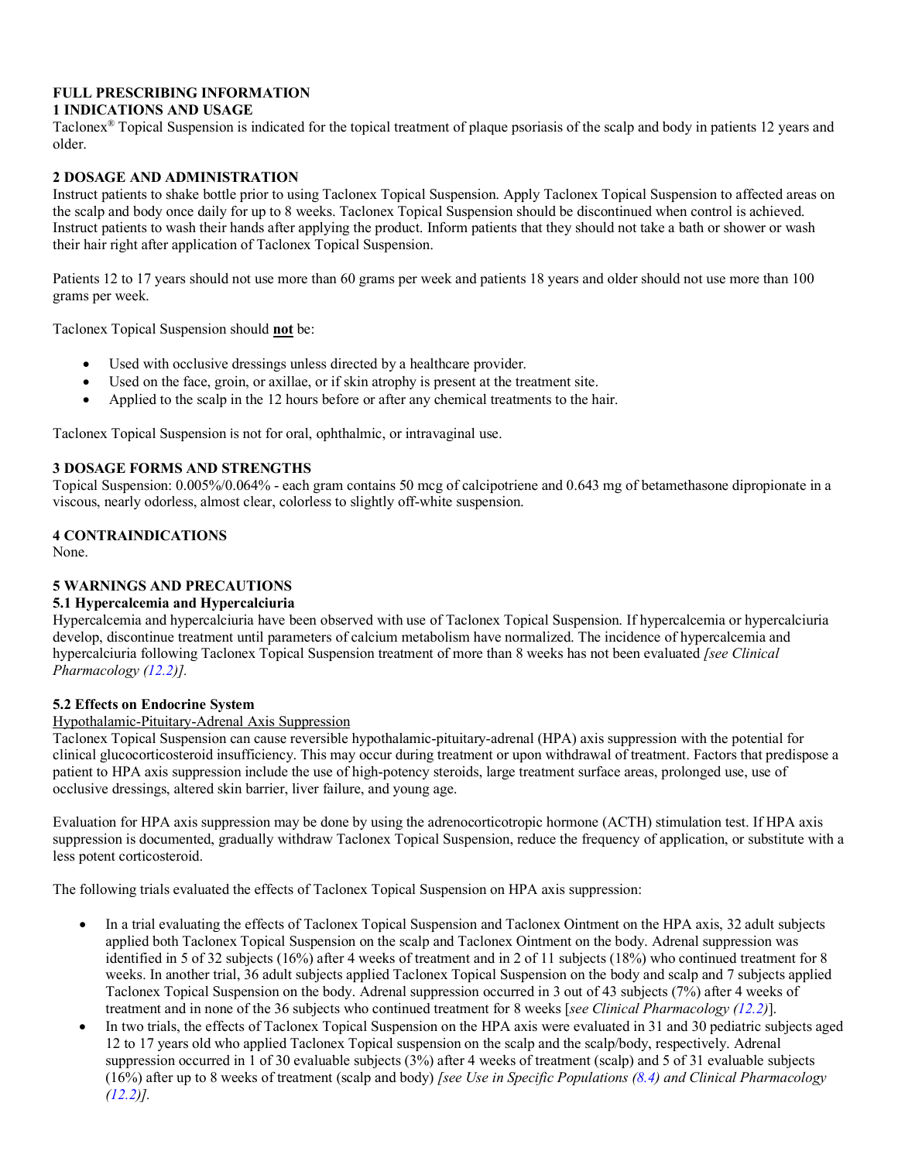## **FULL PRESCRIBING INFORMATION 1 INDICATIONS AND USAGE**

## <span id="page-1-0"></span>Taclonex® Topical Suspension is indicated for the topical treatment of plaque psoriasis of the scalp and body in patients 12 years and older.

# <span id="page-1-1"></span>**2 DOSAGE AND ADMINISTRATION**

Instruct patients to shake bottle prior to using Taclonex Topical Suspension. Apply Taclonex Topical Suspension to affected areas on the scalp and body once daily for up to 8 weeks. Taclonex Topical Suspension should be discontinued when control is achieved. Instruct patients to wash their hands after applying the product. Inform patients that they should not take a bath or shower or wash their hair right after application of Taclonex Topical Suspension.

Patients 12 to 17 years should not use more than 60 grams per week and patients 18 years and older should not use more than 100 grams per week.

Taclonex Topical Suspension should **not** be:

- Used with occlusive dressings unless directed by a healthcare provider.
- Used on the face, groin, or axillae, or if skin atrophy is present at the treatment site.
- Applied to the scalp in the 12 hours before or after any chemical treatments to the hair.

Taclonex Topical Suspension is not for oral, ophthalmic, or intravaginal use.

## <span id="page-1-2"></span>**3 DOSAGE FORMS AND STRENGTHS**

Topical Suspension: 0.005%/0.064% - each gram contains 50 mcg of calcipotriene and 0.643 mg of betamethasone dipropionate in a viscous, nearly odorless, almost clear, colorless to slightly off-white suspension.

## <span id="page-1-3"></span>**4 CONTRAINDICATIONS**

None.

## <span id="page-1-4"></span>**5 WARNINGS AND PRECAUTIONS**

## <span id="page-1-5"></span>**5.1 Hypercalcemia and Hypercalciuria**

Hypercalcemia and hypercalciuria have been observed with use of Taclonex Topical Suspension. If hypercalcemia or hypercalciuria develop, discontinue treatment until parameters of calcium metabolism have normalized. The incidence of hypercalcemia and hypercalciuria following Taclonex Topical Suspension treatment of more than 8 weeks has not been evaluated *[see Clinical Pharmacology [\(12.2\)](#page-6-2)].*

## <span id="page-1-6"></span>**5.2 Effects on Endocrine System**

## Hypothalamic-Pituitary-Adrenal Axis Suppression

Taclonex Topical Suspension can cause reversible hypothalamic-pituitary-adrenal (HPA) axis suppression with the potential for clinical glucocorticosteroid insufficiency. This may occur during treatment or upon withdrawal of treatment. Factors that predispose a patient to HPA axis suppression include the use of high-potency steroids, large treatment surface areas, prolonged use, use of occlusive dressings, altered skin barrier, liver failure, and young age.

Evaluation for HPA axis suppression may be done by using the adrenocorticotropic hormone (ACTH) stimulation test. If HPA axis suppression is documented, gradually withdraw Taclonex Topical Suspension, reduce the frequency of application, or substitute with a less potent corticosteroid.

The following trials evaluated the effects of Taclonex Topical Suspension on HPA axis suppression:

- In a trial evaluating the effects of Taclonex Topical Suspension and Taclonex Ointment on the HPA axis, 32 adult subjects applied both Taclonex Topical Suspension on the scalp and Taclonex Ointment on the body. Adrenal suppression was identified in 5 of 32 subjects (16%) after 4 weeks of treatment and in 2 of 11 subjects (18%) who continued treatment for 8 weeks. In another trial, 36 adult subjects applied Taclonex Topical Suspension on the body and scalp and 7 subjects applied Taclonex Topical Suspension on the body. Adrenal suppression occurred in 3 out of 43 subjects (7%) after 4 weeks of treatment and in none of the 36 subjects who continued treatment for 8 weeks [*see Clinical Pharmacology [\(12.2\)](#page-6-2)*].
- In two trials, the effects of Taclonex Topical Suspension on the HPA axis were evaluated in 31 and 30 pediatric subjects aged 12 to 17 years old who applied Taclonex Topical suspension on the scalp and the scalp/body, respectively. Adrenal suppression occurred in 1 of 30 evaluable subjects (3%) after 4 weeks of treatment (scalp) and 5 of 31 evaluable subjects (16%) after up to 8 weeks of treatment (scalp and body) *[see Use in Specific Populations [\(8.4\)](#page-4-1) and Clinical Pharmacology [\(12.2\)](#page-6-2)].*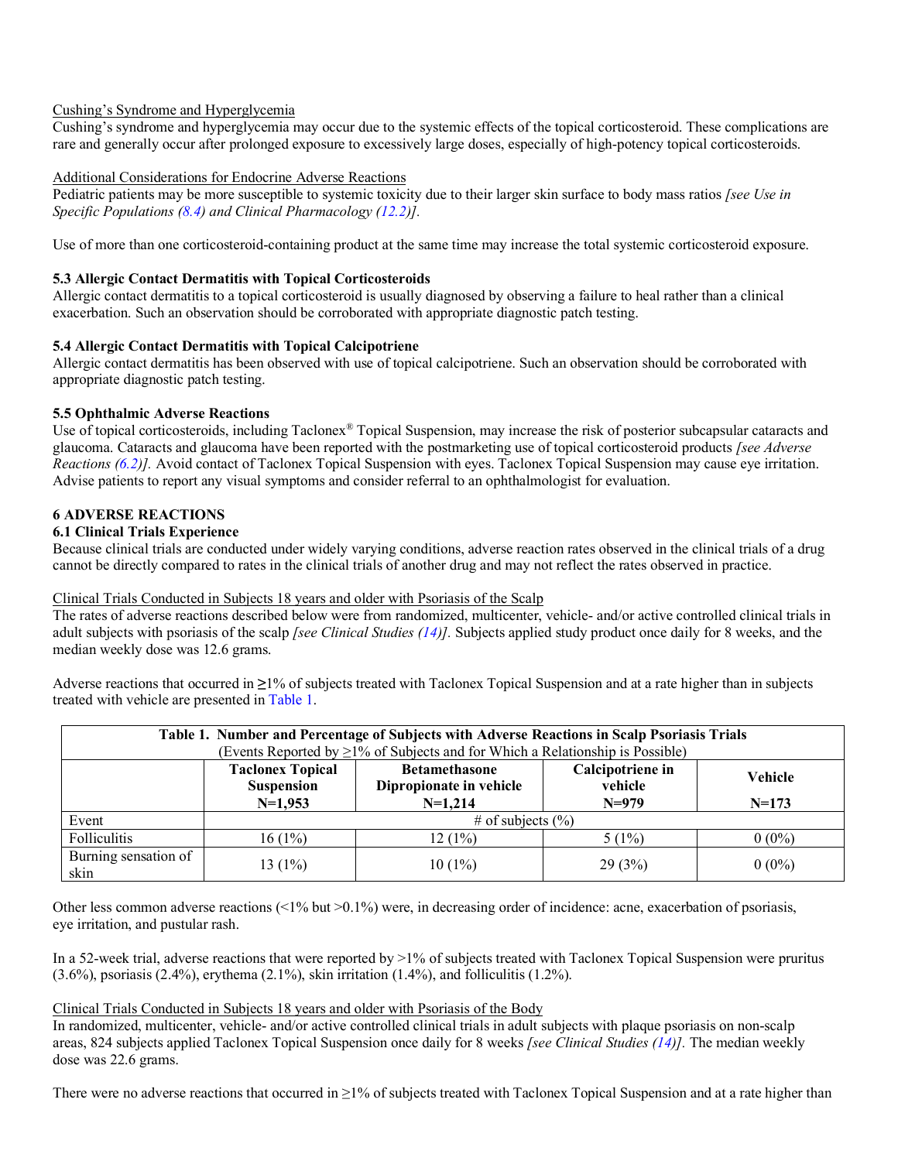## Cushing's Syndrome and Hyperglycemia

Cushing's syndrome and hyperglycemia may occur due to the systemic effects of the topical corticosteroid. These complications are rare and generally occur after prolonged exposure to excessively large doses, especially of high-potency topical corticosteroids.

## Additional Considerations for Endocrine Adverse Reactions

Pediatric patients may be more susceptible to systemic toxicity due to their larger skin surface to body mass ratios *[see Use in Specific Populations [\(8.4\)](#page-4-1) and Clinical Pharmacology [\(12.2\)](#page-6-2)].*

Use of more than one corticosteroid-containing product at the same time may increase the total systemic corticosteroid exposure.

## <span id="page-2-0"></span>**5.3 Allergic Contact Dermatitis with Topical Corticosteroids**

Allergic contact dermatitis to a topical corticosteroid is usually diagnosed by observing a failure to heal rather than a clinical exacerbation. Such an observation should be corroborated with appropriate diagnostic patch testing.

## <span id="page-2-1"></span>**5.4 Allergic Contact Dermatitis with Topical Calcipotriene**

Allergic contact dermatitis has been observed with use of topical calcipotriene. Such an observation should be corroborated with appropriate diagnostic patch testing.

## **5.5 Ophthalmic Adverse Reactions**

<span id="page-2-2"></span>Use of topical corticosteroids, including Taclonex® Topical Suspension, may increase the risk of posterior subcapsular cataracts and glaucoma. Cataracts and glaucoma have been reported with the postmarketing use of topical corticosteroid products *[see Adverse Reactions [\(6.2\)](#page-3-0)].* Avoid contact of Taclonex Topical Suspension with eyes. Taclonex Topical Suspension may cause eye irritation. Advise patients to report any visual symptoms and consider referral to an ophthalmologist for evaluation.

## <span id="page-2-3"></span>**6 ADVERSE REACTIONS**

## <span id="page-2-4"></span>**6.1 Clinical Trials Experience**

Because clinical trials are conducted under widely varying conditions, adverse reaction rates observed in the clinical trials of a drug cannot be directly compared to rates in the clinical trials of another drug and may not reflect the rates observed in practice.

#### Clinical Trials Conducted in Subjects 18 years and older with Psoriasis of the Scalp

The rates of adverse reactions described below were from randomized, multicenter, vehicle- and/or active controlled clinical trials in adult subjects with psoriasis of the scalp *[see Clinical Studies [\(14\)](#page-8-0)].* Subjects applied study product once daily for 8 weeks, and the median weekly dose was 12.6 grams.

Adverse reactions that occurred in **≥**1% of subjects treated with Taclonex Topical Suspension and at a rate higher than in subjects treated with vehicle are presented in [Table 1.](#page-2-5)

<span id="page-2-5"></span>

| Table 1. Number and Percentage of Subjects with Adverse Reactions in Scalp Psoriasis Trials<br>(Events Reported by $\geq$ 1% of Subjects and for Which a Relationship is Possible) |                                                           |                                                              |                                        |                    |  |  |
|------------------------------------------------------------------------------------------------------------------------------------------------------------------------------------|-----------------------------------------------------------|--------------------------------------------------------------|----------------------------------------|--------------------|--|--|
|                                                                                                                                                                                    | <b>Taclonex Topical</b><br><b>Suspension</b><br>$N=1,953$ | <b>Betamethasone</b><br>Dipropionate in vehicle<br>$N=1,214$ | Calcipotriene in<br>vehicle<br>$N=979$ | Vehicle<br>$N=173$ |  |  |
| Event                                                                                                                                                                              | # of subjects $(\% )$                                     |                                                              |                                        |                    |  |  |
| Folliculitis                                                                                                                                                                       | 16(1%)                                                    | 12 (1%)                                                      | $5(1\%)$                               | $0(0\%)$           |  |  |
| Burning sensation of<br>skin                                                                                                                                                       | 13 $(1%)$                                                 | $10(1\%)$                                                    | 29(3%)                                 | $0(0\%)$           |  |  |

Other less common adverse reactions (<1% but >0.1%) were, in decreasing order of incidence: acne, exacerbation of psoriasis, eye irritation, and pustular rash.

In a 52-week trial, adverse reactions that were reported by >1% of subjects treated with Taclonex Topical Suspension were pruritus  $(3.6\%)$ , psoriasis  $(2.4\%)$ , erythema  $(2.1\%)$ , skin irritation  $(1.4\%)$ , and folliculitis  $(1.2\%)$ .

## Clinical Trials Conducted in Subjects 18 years and older with Psoriasis of the Body

In randomized, multicenter, vehicle- and/or active controlled clinical trials in adult subjects with plaque psoriasis on non-scalp areas, 824 subjects applied Taclonex Topical Suspension once daily for 8 weeks *[see Clinical Studies [\(14\)](#page-8-0)].* The median weekly dose was 22.6 grams.

There were no adverse reactions that occurred in ≥1% of subjects treated with Taclonex Topical Suspension and at a rate higher than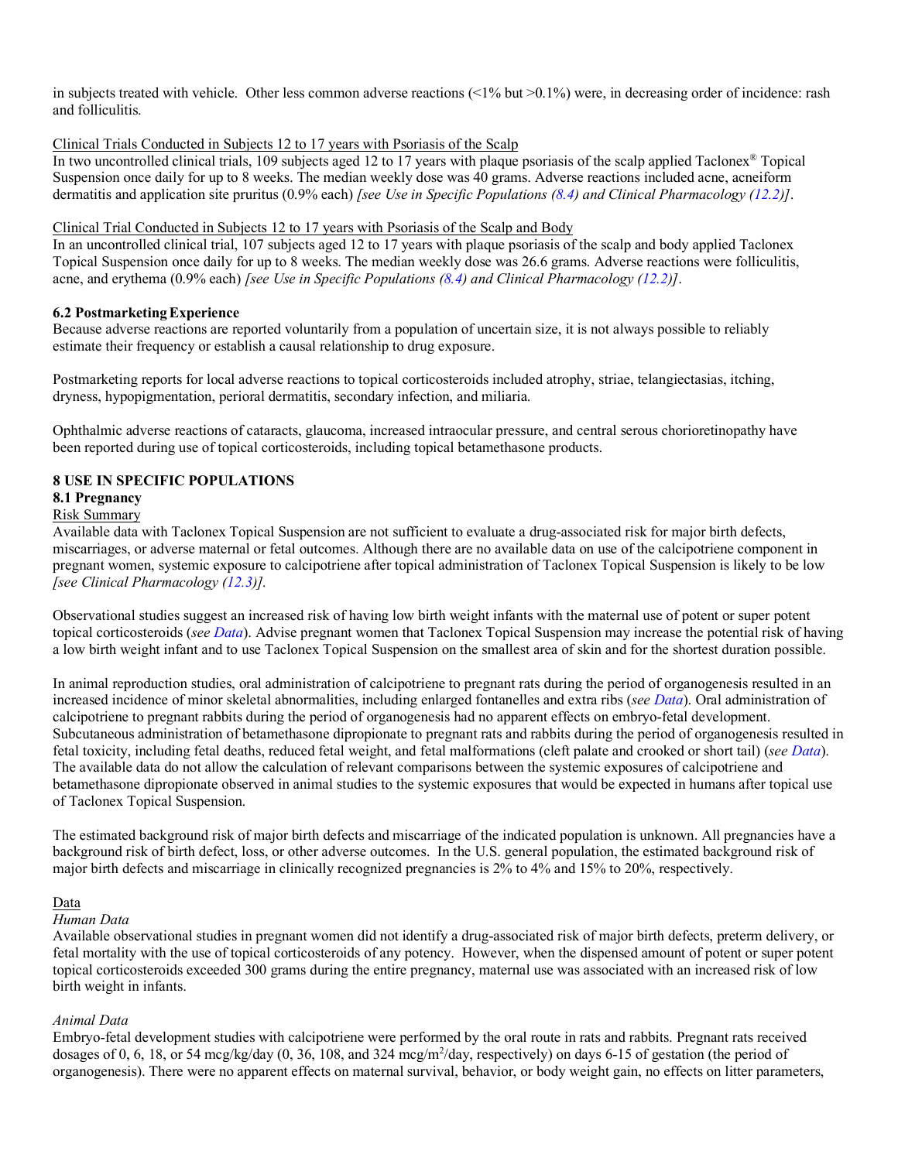in subjects treated with vehicle. Other less common adverse reactions (<1% but >0.1%) were, in decreasing order of incidence: rash and folliculitis.

## Clinical Trials Conducted in Subjects 12 to 17 years with Psoriasis of the Scalp

In two uncontrolled clinical trials, 109 subjects aged 12 to 17 years with plaque psoriasis of the scalp applied Taclonex® Topical Suspension once daily for up to 8 weeks. The median weekly dose was 40 grams. Adverse reactions included acne, acneiform dermatitis and application site pruritus (0.9% each) *[see Use in Specific Populations [\(8.4\)](#page-4-1) and Clinical Pharmacology [\(12.2\)](#page-6-2)]*.

#### Clinical Trial Conducted in Subjects 12 to 17 years with Psoriasis of the Scalp and Body

In an uncontrolled clinical trial, 107 subjects aged 12 to 17 years with plaque psoriasis of the scalp and body applied Taclonex Topical Suspension once daily for up to 8 weeks. The median weekly dose was 26.6 grams. Adverse reactions were folliculitis, acne, and erythema (0.9% each) *[see Use in Specific Populations [\(8.4\)](#page-4-1) and Clinical Pharmacology [\(12.2\)](#page-6-2)]*.

## <span id="page-3-0"></span>**6.2 PostmarketingExperience**

Because adverse reactions are reported voluntarily from a population of uncertain size, it is not always possible to reliably estimate their frequency or establish a causal relationship to drug exposure.

Postmarketing reports for local adverse reactions to topical corticosteroids included atrophy, striae, telangiectasias, itching, dryness, hypopigmentation, perioral dermatitis, secondary infection, and miliaria.

Ophthalmic adverse reactions of cataracts, glaucoma, increased intraocular pressure, and central serous chorioretinopathy have been reported during use of topical corticosteroids, including topical betamethasone products.

## <span id="page-3-1"></span>**8 USE IN SPECIFIC POPULATIONS**

## <span id="page-3-2"></span>**8.1 Pregnancy**

#### Risk Summary

Available data with Taclonex Topical Suspension are not sufficient to evaluate a drug-associated risk for major birth defects, miscarriages, or adverse maternal or fetal outcomes. Although there are no available data on use of the calcipotriene component in pregnant women, systemic exposure to calcipotriene after topical administration of Taclonex Topical Suspension is likely to be low *[see Clinical Pharmacology [\(12.3\)](#page-6-3)].*

Observational studies suggest an increased risk of having low birth weight infants with the maternal use of potent or super potent topical corticosteroids (*se[e Data](#page-3-3)*). Advise pregnant women that Taclonex Topical Suspension may increase the potential risk of having a low birth weight infant and to use Taclonex Topical Suspension on the smallest area of skin and for the shortest duration possible.

In animal reproduction studies, oral administration of calcipotriene to pregnant rats during the period of organogenesis resulted in an increased incidence of minor skeletal abnormalities, including enlarged fontanelles and extra ribs (*see [Data](#page-3-3)*). Oral administration of calcipotriene to pregnant rabbits during the period of organogenesis had no apparent effects on embryo-fetal development. Subcutaneous administration of betamethasone dipropionate to pregnant rats and rabbits during the period of organogenesis resulted in fetal toxicity, including fetal deaths, reduced fetal weight, and fetal malformations (cleft palate and crooked or short tail) (*se[e Data](#page-3-3)*). The available data do not allow the calculation of relevant comparisons between the systemic exposures of calcipotriene and betamethasone dipropionate observed in animal studies to the systemic exposures that would be expected in humans after topical use of Taclonex Topical Suspension.

The estimated background risk of major birth defects and miscarriage of the indicated population is unknown. All pregnancies have a background risk of birth defect, loss, or other adverse outcomes. In the U.S. general population, the estimated background risk of major birth defects and miscarriage in clinically recognized pregnancies is 2% to 4% and 15% to 20%, respectively.

## <span id="page-3-3"></span>Data

#### *Human Data*

Available observational studies in pregnant women did not identify a drug-associated risk of major birth defects, preterm delivery, or fetal mortality with the use of topical corticosteroids of any potency. However, when the dispensed amount of potent or super potent topical corticosteroids exceeded 300 grams during the entire pregnancy, maternal use was associated with an increased risk of low birth weight in infants.

#### *Animal Data*

Embryo-fetal development studies with calcipotriene were performed by the oral route in rats and rabbits. Pregnant rats received dosages of 0, 6, 18, or 54 mcg/kg/day (0, 36, 108, and 324 mcg/m<sup>2</sup>/day, respectively) on days 6-15 of gestation (the period of organogenesis). There were no apparent effects on maternal survival, behavior, or body weight gain, no effects on litter parameters,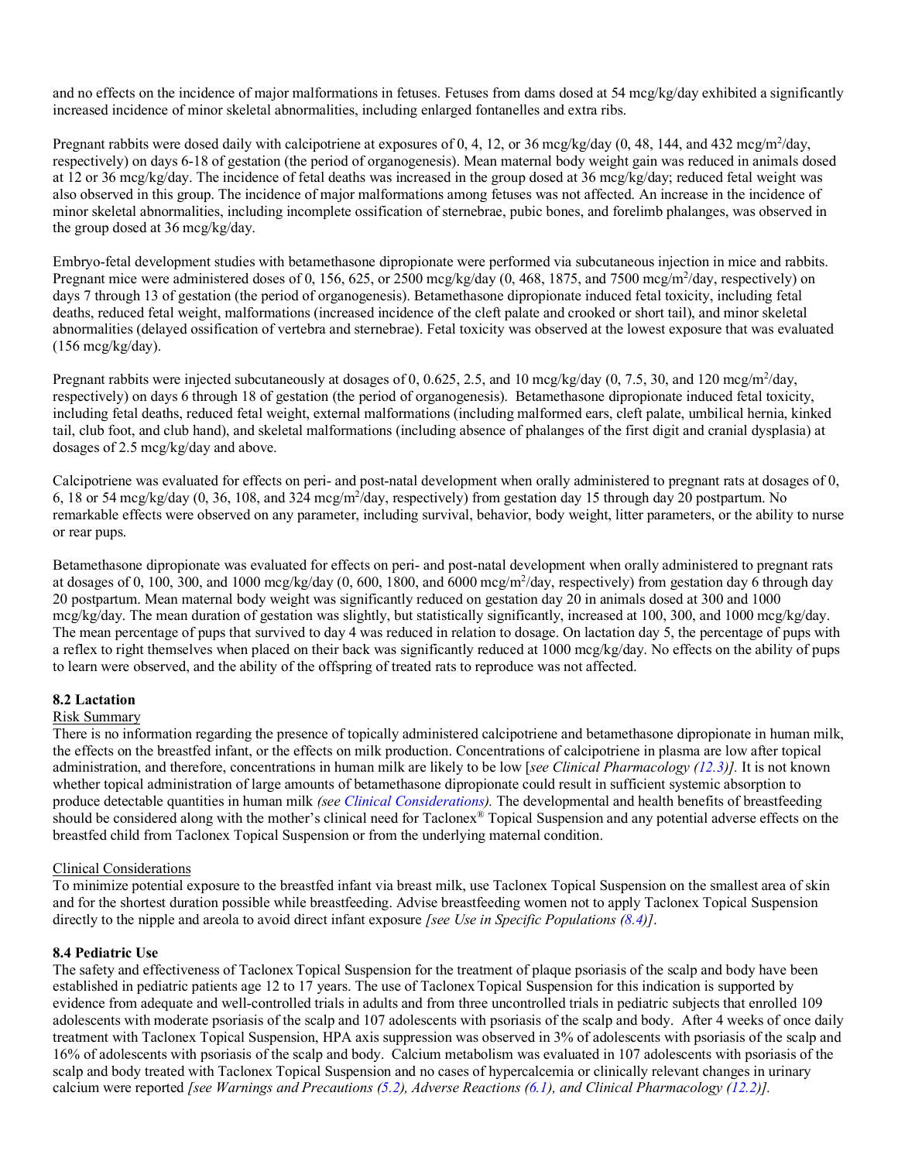and no effects on the incidence of major malformations in fetuses. Fetuses from dams dosed at 54 mcg/kg/day exhibited a significantly increased incidence of minor skeletal abnormalities, including enlarged fontanelles and extra ribs.

Pregnant rabbits were dosed daily with calcipotriene at exposures of 0, 4, 12, or 36 mcg/kg/day (0, 48, 144, and 432 mcg/m<sup>2</sup>/day, respectively) on days 6-18 of gestation (the period of organogenesis). Mean maternal body weight gain was reduced in animals dosed at 12 or 36 mcg/kg/day. The incidence of fetal deaths was increased in the group dosed at 36 mcg/kg/day; reduced fetal weight was also observed in this group. The incidence of major malformations among fetuses was not affected. An increase in the incidence of minor skeletal abnormalities, including incomplete ossification of sternebrae, pubic bones, and forelimb phalanges, was observed in the group dosed at 36 mcg/kg/day.

Embryo-fetal development studies with betamethasone dipropionate were performed via subcutaneous injection in mice and rabbits. Pregnant mice were administered doses of 0, 156, 625, or 2500 mcg/kg/day (0, 468, 1875, and 7500 mcg/m<sup>2</sup>/day, respectively) on days 7 through 13 of gestation (the period of organogenesis). Betamethasone dipropionate induced fetal toxicity, including fetal deaths, reduced fetal weight, malformations (increased incidence of the cleft palate and crooked or short tail), and minor skeletal abnormalities (delayed ossification of vertebra and sternebrae). Fetal toxicity was observed at the lowest exposure that was evaluated (156 mcg/kg/day).

Pregnant rabbits were injected subcutaneously at dosages of 0, 0.625, 2.5, and 10 mcg/kg/day  $(0, 7.5, 30, \text{ and } 120 \text{~mg/m}^2/\text{day}$ , respectively) on days 6 through 18 of gestation (the period of organogenesis). Betamethasone dipropionate induced fetal toxicity, including fetal deaths, reduced fetal weight, external malformations (including malformed ears, cleft palate, umbilical hernia, kinked tail, club foot, and club hand), and skeletal malformations (including absence of phalanges of the first digit and cranial dysplasia) at dosages of 2.5 mcg/kg/day and above.

Calcipotriene was evaluated for effects on peri- and post-natal development when orally administered to pregnant rats at dosages of 0, 6, 18 or 54 mcg/kg/day (0, 36, 108, and 324 mcg/m<sup>2</sup>/day, respectively) from gestation day 15 through day 20 postpartum. No remarkable effects were observed on any parameter, including survival, behavior, body weight, litter parameters, or the ability to nurse or rear pups.

Betamethasone dipropionate was evaluated for effects on peri- and post-natal development when orally administered to pregnant rats at dosages of 0, 100, 300, and 1000 mcg/kg/day (0, 600, 1800, and 6000 mcg/m<sup>2</sup>/day, respectively) from gestation day 6 through day 20 postpartum. Mean maternal body weight was significantly reduced on gestation day 20 in animals dosed at 300 and 1000 mcg/kg/day. The mean duration of gestation was slightly, but statistically significantly, increased at 100, 300, and 1000 mcg/kg/day. The mean percentage of pups that survived to day 4 was reduced in relation to dosage. On lactation day 5, the percentage of pups with a reflex to right themselves when placed on their back was significantly reduced at 1000 mcg/kg/day. No effects on the ability of pups to learn were observed, and the ability of the offspring of treated rats to reproduce was not affected.

## <span id="page-4-0"></span>**8.2 Lactation**

#### Risk Summary

There is no information regarding the presence of topically administered calcipotriene and betamethasone dipropionate in human milk, the effects on the breastfed infant, or the effects on milk production. Concentrations of calcipotriene in plasma are low after topical administration, and therefore, concentrations in human milk are likely to be low [*see Clinical Pharmacology [\(12.3\)](#page-6-3)].* It is not known whether topical administration of large amounts of betamethasone dipropionate could result in sufficient systemic absorption to produce detectable quantities in human milk *(se[e Clinical Considerations\)](#page-4-2).* The developmental and health benefits of breastfeeding should be considered along with the mother's clinical need for Taclonex® Topical Suspension and any potential adverse effects on the breastfed child from Taclonex Topical Suspension or from the underlying maternal condition.

#### <span id="page-4-2"></span>Clinical Considerations

To minimize potential exposure to the breastfed infant via breast milk, use Taclonex Topical Suspension on the smallest area of skin and for the shortest duration possible while breastfeeding. Advise breastfeeding women not to apply Taclonex Topical Suspension directly to the nipple and areola to avoid direct infant exposure *[see Use in Specific Populations [\(8.4\)](#page-4-1)]*.

## <span id="page-4-1"></span>**8.4 Pediatric Use**

The safety and effectiveness of Taclonex Topical Suspension for the treatment of plaque psoriasis of the scalp and body have been established in pediatric patients age 12 to 17 years. The use of TaclonexTopical Suspension for this indication is supported by evidence from adequate and well-controlled trials in adults and from three uncontrolled trials in pediatric subjects that enrolled 109 adolescents with moderate psoriasis of the scalp and 107 adolescents with psoriasis of the scalp and body. After 4 weeks of once daily treatment with Taclonex Topical Suspension, HPA axis suppression was observed in 3% of adolescents with psoriasis of the scalp and 16% of adolescents with psoriasis of the scalp and body. Calcium metabolism was evaluated in 107 adolescents with psoriasis of the scalp and body treated with Taclonex Topical Suspension and no cases of hypercalcemia or clinically relevant changes in urinary calcium were reported *[see Warnings and Precautions [\(5.2\)](#page-1-6), Adverse Reactions [\(6.1\)](#page-2-4), and Clinical Pharmacology [\(12.2\)](#page-6-2)].*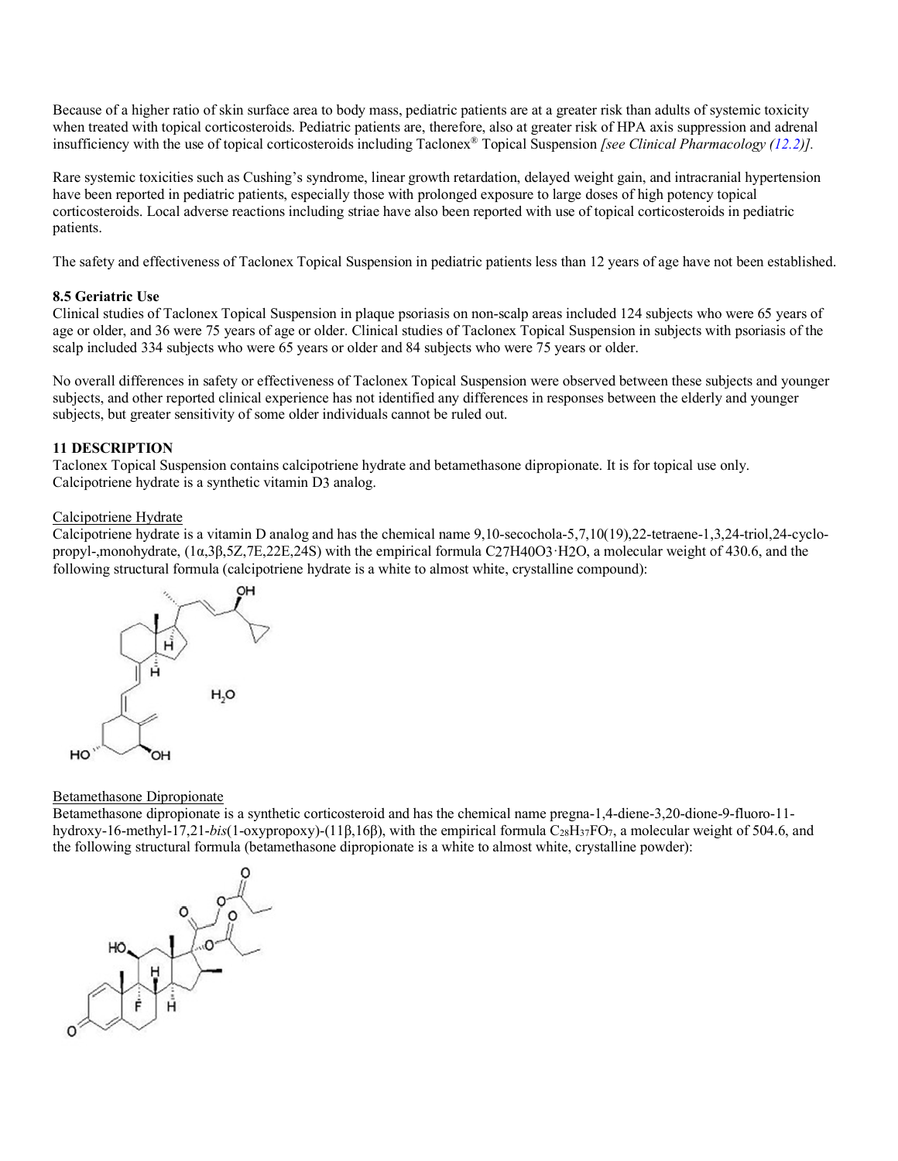Because of a higher ratio of skin surface area to body mass, pediatric patients are at a greater risk than adults of systemic toxicity when treated with topical corticosteroids. Pediatric patients are, therefore, also at greater risk of HPA axis suppression and adrenal insufficiency with the use of topical corticosteroids including Taclonex® Topical Suspension *[see Clinical Pharmacology [\(12.2\)](#page-6-2)].*

Rare systemic toxicities such as Cushing's syndrome, linear growth retardation, delayed weight gain, and intracranial hypertension have been reported in pediatric patients, especially those with prolonged exposure to large doses of high potency topical corticosteroids. Local adverse reactions including striae have also been reported with use of topical corticosteroids in pediatric patients.

The safety and effectiveness of Taclonex Topical Suspension in pediatric patients less than 12 years of age have not been established.

## <span id="page-5-0"></span>**8.5 Geriatric Use**

Clinical studies of Taclonex Topical Suspension in plaque psoriasis on non-scalp areas included 124 subjects who were 65 years of age or older, and 36 were 75 years of age or older. Clinical studies of Taclonex Topical Suspension in subjects with psoriasis of the scalp included 334 subjects who were 65 years or older and 84 subjects who were 75 years or older.

No overall differences in safety or effectiveness of Taclonex Topical Suspension were observed between these subjects and younger subjects, and other reported clinical experience has not identified any differences in responses between the elderly and younger subjects, but greater sensitivity of some older individuals cannot be ruled out.

## <span id="page-5-1"></span>**11 DESCRIPTION**

Taclonex Topical Suspension contains calcipotriene hydrate and betamethasone dipropionate. It is for topical use only. Calcipotriene hydrate is a synthetic vitamin D3 analog.

#### Calcipotriene Hydrate

Calcipotriene hydrate is a vitamin D analog and has the chemical name 9,10-secochola-5,7,10(19),22-tetraene-1,3,24-triol,24-cyclopropyl-,monohydrate, (1α,3β,5Z,7E,22E,24S) with the empirical formula C27H40O3·H2O, a molecular weight of 430.6, and the following structural formula (calcipotriene hydrate is a white to almost white, crystalline compound):



#### Betamethasone Dipropionate

Betamethasone dipropionate is a synthetic corticosteroid and has the chemical name pregna-1,4-diene-3,20-dione-9-fluoro-11 hydroxy-16-methyl-17,21-*bis*(1-oxypropoxy)-(11β,16β), with the empirical formula C<sub>28</sub>H<sub>37</sub>FO<sub>7</sub>, a molecular weight of 504.6, and the following structural formula (betamethasone dipropionate is a white to almost white, crystalline powder):

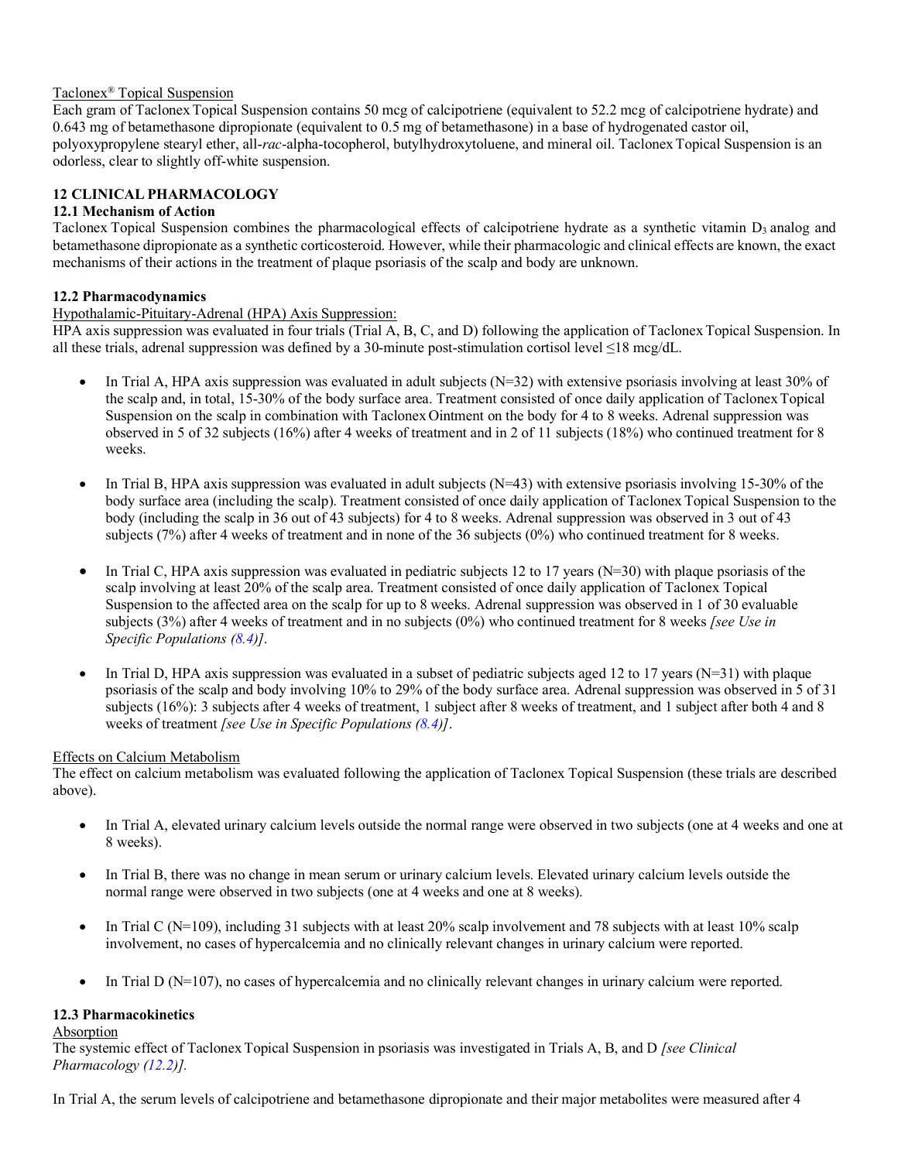## Taclonex® Topical Suspension

Each gram of Taclonex Topical Suspension contains 50 mcg of calcipotriene (equivalent to 52.2 mcg of calcipotriene hydrate) and 0.643 mg of betamethasone dipropionate (equivalent to 0.5 mg of betamethasone) in a base of hydrogenated castor oil, polyoxypropylene stearyl ether, all-*rac*-alpha-tocopherol, butylhydroxytoluene, and mineral oil. TaclonexTopical Suspension is an odorless, clear to slightly off-white suspension.

# <span id="page-6-0"></span>**12 CLINICAL PHARMACOLOGY**

## <span id="page-6-1"></span>**12.1 Mechanism of Action**

Taclonex Topical Suspension combines the pharmacological effects of calcipotriene hydrate as a synthetic vitamin D<sub>3</sub> analog and betamethasone dipropionate as a synthetic corticosteroid. However, while their pharmacologic and clinical effects are known, the exact mechanisms of their actions in the treatment of plaque psoriasis of the scalp and body are unknown.

## <span id="page-6-2"></span>**12.2 Pharmacodynamics**

## Hypothalamic-Pituitary-Adrenal (HPA) Axis Suppression:

HPA axis suppression was evaluated in four trials (Trial A, B, C, and D) following the application of Taclonex Topical Suspension. In all these trials, adrenal suppression was defined by a 30-minute post-stimulation cortisol level ≤18 mcg/dL.

- In Trial A, HPA axis suppression was evaluated in adult subjects  $(N=32)$  with extensive psoriasis involving at least 30% of the scalp and, in total, 15-30% of the body surface area. Treatment consisted of once daily application of TaclonexTopical Suspension on the scalp in combination with TaclonexOintment on the body for 4 to 8 weeks. Adrenal suppression was observed in 5 of 32 subjects (16%) after 4 weeks of treatment and in 2 of 11 subjects (18%) who continued treatment for 8 weeks.
- In Trial B, HPA axis suppression was evaluated in adult subjects  $(N=43)$  with extensive psoriasis involving 15-30% of the body surface area (including the scalp). Treatment consisted of once daily application of Taclonex Topical Suspension to the body (including the scalp in 36 out of 43 subjects) for 4 to 8 weeks. Adrenal suppression was observed in 3 out of 43 subjects (7%) after 4 weeks of treatment and in none of the 36 subjects (0%) who continued treatment for 8 weeks.
- In Trial C, HPA axis suppression was evaluated in pediatric subjects 12 to 17 years (N=30) with plaque psoriasis of the scalp involving at least 20% of the scalp area. Treatment consisted of once daily application of Taclonex Topical Suspension to the affected area on the scalp for up to 8 weeks. Adrenal suppression was observed in 1 of 30 evaluable subjects (3%) after 4 weeks of treatment and in no subjects (0%) who continued treatment for 8 weeks *[see Use in Specific Populations [\(8.4\)](#page-4-1)]*.
- In Trial D, HPA axis suppression was evaluated in a subset of pediatric subjects aged 12 to 17 years (N=31) with plaque psoriasis of the scalp and body involving 10% to 29% of the body surface area. Adrenal suppression was observed in 5 of 31 subjects (16%): 3 subjects after 4 weeks of treatment, 1 subject after 8 weeks of treatment, and 1 subject after both 4 and 8 weeks of treatment *[see Use in Specific Populations [\(8.4\)](#page-4-1)]*.

## Effects on Calcium Metabolism

The effect on calcium metabolism was evaluated following the application of Taclonex Topical Suspension (these trials are described above).

- In Trial A, elevated urinary calcium levels outside the normal range were observed in two subjects (one at 4 weeks and one at 8 weeks).
- In Trial B, there was no change in mean serum or urinary calcium levels. Elevated urinary calcium levels outside the normal range were observed in two subjects (one at 4 weeks and one at 8 weeks).
- In Trial C (N=109), including 31 subjects with at least 20% scalp involvement and 78 subjects with at least  $10\%$  scalp involvement, no cases of hypercalcemia and no clinically relevant changes in urinary calcium were reported.
- In Trial D (N=107), no cases of hypercalcemia and no clinically relevant changes in urinary calcium were reported.

## <span id="page-6-3"></span>**12.3 Pharmacokinetics**

## Absorption

The systemic effect of TaclonexTopical Suspension in psoriasis was investigated in Trials A, B, and D *[see Clinical Pharmacology [\(12.2\)](#page-6-2)].*

In Trial A, the serum levels of calcipotriene and betamethasone dipropionate and their major metabolites were measured after 4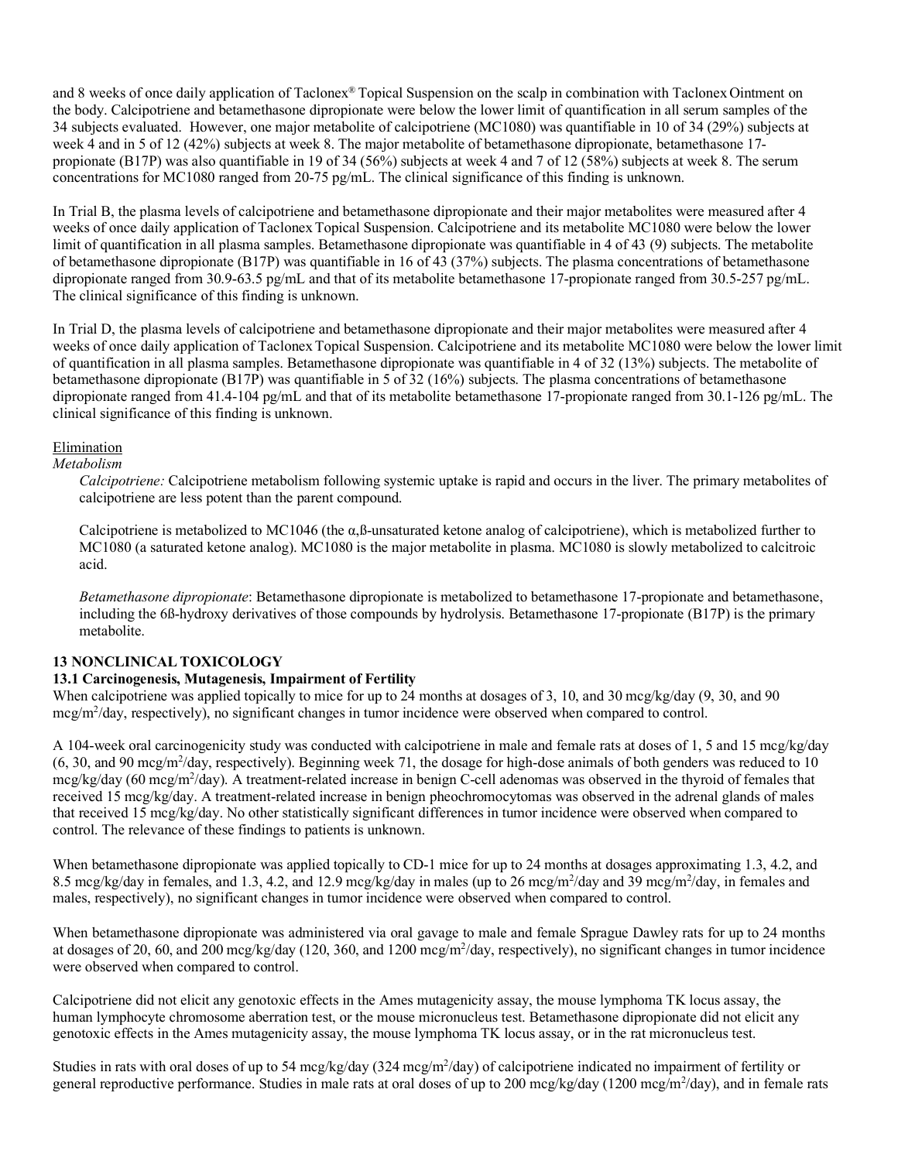and 8 weeks of once daily application of Taclonex® Topical Suspension on the scalp in combination with Taclonex Ointment on the body. Calcipotriene and betamethasone dipropionate were below the lower limit of quantification in all serum samples of the 34 subjects evaluated. However, one major metabolite of calcipotriene (MC1080) was quantifiable in 10 of 34 (29%) subjects at week 4 and in 5 of 12 (42%) subjects at week 8. The major metabolite of betamethasone dipropionate, betamethasone 17 propionate (B17P) was also quantifiable in 19 of 34 (56%) subjects at week 4 and 7 of 12 (58%) subjects at week 8. The serum concentrations for MC1080 ranged from 20-75 pg/mL. The clinical significance of this finding is unknown.

In Trial B, the plasma levels of calcipotriene and betamethasone dipropionate and their major metabolites were measured after 4 weeks of once daily application of Taclonex Topical Suspension. Calcipotriene and its metabolite MC1080 were below the lower limit of quantification in all plasma samples. Betamethasone dipropionate was quantifiable in 4 of 43 (9) subjects. The metabolite of betamethasone dipropionate (B17P) was quantifiable in 16 of 43 (37%) subjects. The plasma concentrations of betamethasone dipropionate ranged from 30.9-63.5 pg/mL and that of its metabolite betamethasone 17-propionate ranged from 30.5-257 pg/mL. The clinical significance of this finding is unknown.

In Trial D, the plasma levels of calcipotriene and betamethasone dipropionate and their major metabolites were measured after 4 weeks of once daily application of Taclonex Topical Suspension. Calcipotriene and its metabolite MC1080 were below the lower limit of quantification in all plasma samples. Betamethasone dipropionate was quantifiable in 4 of 32 (13%) subjects. The metabolite of betamethasone dipropionate (B17P) was quantifiable in 5 of 32 (16%) subjects. The plasma concentrations of betamethasone dipropionate ranged from 41.4-104 pg/mL and that of its metabolite betamethasone 17-propionate ranged from 30.1-126 pg/mL. The clinical significance of this finding is unknown.

## Elimination

#### *Metabolism*

*Calcipotriene:* Calcipotriene metabolism following systemic uptake is rapid and occurs in the liver. The primary metabolites of calcipotriene are less potent than the parent compound.

Calcipotriene is metabolized to MC1046 (the α,ß-unsaturated ketone analog of calcipotriene), which is metabolized further to MC1080 (a saturated ketone analog). MC1080 is the major metabolite in plasma. MC1080 is slowly metabolized to calcitroic acid.

*Betamethasone dipropionate*: Betamethasone dipropionate is metabolized to betamethasone 17-propionate and betamethasone, including the 6ß-hydroxy derivatives of those compounds by hydrolysis. Betamethasone 17-propionate (B17P) is the primary metabolite.

## <span id="page-7-0"></span>**13 NONCLINICAL TOXICOLOGY**

## <span id="page-7-1"></span>**13.1 Carcinogenesis, Mutagenesis, Impairment of Fertility**

When calcipotriene was applied topically to mice for up to 24 months at dosages of 3, 10, and 30 mcg/kg/day (9, 30, and 90) mcg/m<sup>2</sup>/day, respectively), no significant changes in tumor incidence were observed when compared to control.

A 104-week oral carcinogenicity study was conducted with calcipotriene in male and female rats at doses of 1, 5 and 15 mcg/kg/day (6, 30, and 90 mcg/m<sup>2</sup>/day, respectively). Beginning week 71, the dosage for high-dose animals of both genders was reduced to 10 mcg/kg/day (60 mcg/m<sup>2</sup>/day). A treatment-related increase in benign C-cell adenomas was observed in the thyroid of females that received 15 mcg/kg/day. A treatment-related increase in benign pheochromocytomas was observed in the adrenal glands of males that received 15 mcg/kg/day. No other statistically significant differences in tumor incidence were observed when compared to control. The relevance of these findings to patients is unknown.

When betamethasone dipropionate was applied topically to CD-1 mice for up to 24 months at dosages approximating 1.3, 4.2, and 8.5 mcg/kg/day in females, and 1.3, 4.2, and 12.9 mcg/kg/day in males (up to 26 mcg/m<sup>2</sup>/day and 39 mcg/m<sup>2</sup>/day, in females and males, respectively), no significant changes in tumor incidence were observed when compared to control.

When betamethasone dipropionate was administered via oral gavage to male and female Sprague Dawley rats for up to 24 months at dosages of 20, 60, and 200 mcg/kg/day (120, 360, and 1200 mcg/m<sup>2</sup>/day, respectively), no significant changes in tumor incidence were observed when compared to control.

Calcipotriene did not elicit any genotoxic effects in the Ames mutagenicity assay, the mouse lymphoma TK locus assay, the human lymphocyte chromosome aberration test, or the mouse micronucleus test. Betamethasone dipropionate did not elicit any genotoxic effects in the Ames mutagenicity assay, the mouse lymphoma TK locus assay, or in the rat micronucleus test.

Studies in rats with oral doses of up to 54 mcg/kg/day (324 mcg/m<sup>2</sup>/day) of calcipotriene indicated no impairment of fertility or general reproductive performance. Studies in male rats at oral doses of up to 200 mcg/kg/day (1200 mcg/m<sup>2</sup>/day), and in female rats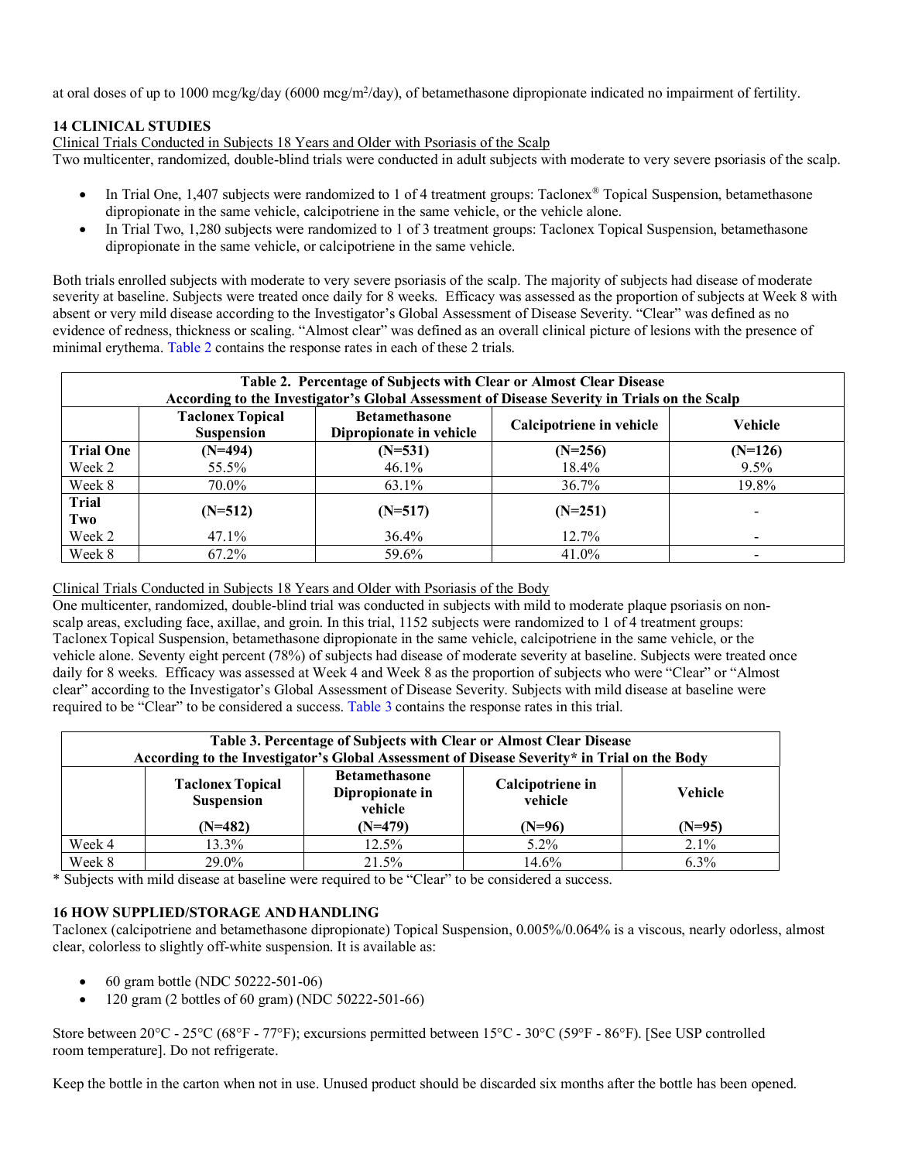at oral doses of up to 1000 mcg/kg/day (6000 mcg/m<sup>2</sup>/day), of betamethasone dipropionate indicated no impairment of fertility.

## <span id="page-8-0"></span>**14 CLINICAL STUDIES**

Clinical Trials Conducted in Subjects 18 Years and Older with Psoriasis of the Scalp

Two multicenter, randomized, double-blind trials were conducted in adult subjects with moderate to very severe psoriasis of the scalp.

- In Trial One, 1,407 subjects were randomized to 1 of 4 treatment groups: Taclonex<sup>®</sup> Topical Suspension, betamethasone dipropionate in the same vehicle, calcipotriene in the same vehicle, or the vehicle alone.
- In Trial Two, 1,280 subjects were randomized to 1 of 3 treatment groups: Taclonex Topical Suspension, betamethasone dipropionate in the same vehicle, or calcipotriene in the same vehicle.

Both trials enrolled subjects with moderate to very severe psoriasis of the scalp. The majority of subjects had disease of moderate severity at baseline. Subjects were treated once daily for 8 weeks. Efficacy was assessed as the proportion of subjects at Week 8 with absent or very mild disease according to the Investigator's Global Assessment of Disease Severity. "Clear" was defined as no evidence of redness, thickness or scaling. "Almost clear" was defined as an overall clinical picture of lesions with the presence of minimal erythema. [Table 2](#page-8-2) contains the response rates in each of these 2 trials.

<span id="page-8-2"></span>

| Table 2. Percentage of Subjects with Clear or Almost Clear Disease<br>According to the Investigator's Global Assessment of Disease Severity in Trials on the Scalp |                                              |                                                 |                          |           |  |  |
|--------------------------------------------------------------------------------------------------------------------------------------------------------------------|----------------------------------------------|-------------------------------------------------|--------------------------|-----------|--|--|
|                                                                                                                                                                    | <b>Taclonex Topical</b><br><b>Suspension</b> | <b>Betamethasone</b><br>Dipropionate in vehicle | Calcipotriene in vehicle | Vehicle   |  |  |
| <b>Trial One</b>                                                                                                                                                   | $(N=494)$                                    | $(N=531)$                                       | $(N=256)$                | $(N=126)$ |  |  |
| Week 2                                                                                                                                                             | 55.5%                                        | 46.1%                                           | 18.4%                    | $9.5\%$   |  |  |
| Week 8                                                                                                                                                             | 70.0%                                        | 63.1%                                           | 36.7%                    | 19.8%     |  |  |
| <b>Trial</b><br>Two                                                                                                                                                | $(N=512)$                                    | $(N=517)$                                       | $(N=251)$                |           |  |  |
| Week 2                                                                                                                                                             | 47.1%                                        | $36.4\%$                                        | 12.7%                    |           |  |  |
| Week 8                                                                                                                                                             | 67.2%                                        | 59.6%                                           | 41.0%                    |           |  |  |

## Clinical Trials Conducted in Subjects 18 Years and Older with Psoriasis of the Body

One multicenter, randomized, double-blind trial was conducted in subjects with mild to moderate plaque psoriasis on nonscalp areas, excluding face, axillae, and groin. In this trial, 1152 subjects were randomized to 1 of 4 treatment groups: TaclonexTopical Suspension, betamethasone dipropionate in the same vehicle, calcipotriene in the same vehicle, or the vehicle alone. Seventy eight percent (78%) of subjects had disease of moderate severity at baseline. Subjects were treated once daily for 8 weeks. Efficacy was assessed at Week 4 and Week 8 as the proportion of subjects who were "Clear" or "Almost clear" according to the Investigator's Global Assessment of Disease Severity. Subjects with mild disease at baseline were required to be "Clear" to be considered a success. [Table 3](#page-8-3) contains the response rates in this trial.

<span id="page-8-3"></span>

| Table 3. Percentage of Subjects with Clear or Almost Clear Disease<br>According to the Investigator's Global Assessment of Disease Severity* in Trial on the Body |                                              |                                                    |                             |          |  |  |
|-------------------------------------------------------------------------------------------------------------------------------------------------------------------|----------------------------------------------|----------------------------------------------------|-----------------------------|----------|--|--|
|                                                                                                                                                                   | <b>Taclonex Topical</b><br><b>Suspension</b> | <b>Betamethasone</b><br>Dipropionate in<br>vehicle | Calcipotriene in<br>vehicle | Vehicle  |  |  |
|                                                                                                                                                                   | $(N=482)$                                    | $(N=479)$                                          | $(N=96)$                    | $(N=95)$ |  |  |
| Week 4                                                                                                                                                            | 13.3%                                        | 12.5%                                              | $5.2\%$                     | $2.1\%$  |  |  |
| Week 8                                                                                                                                                            | 29.0%                                        | 21.5%                                              | 14.6%                       | $6.3\%$  |  |  |

\* Subjects with mild disease at baseline were required to be "Clear" to be considered a success.

## <span id="page-8-1"></span>**16 HOW SUPPLIED/STORAGE ANDHANDLING**

Taclonex (calcipotriene and betamethasone dipropionate) Topical Suspension, 0.005%/0.064% is a viscous, nearly odorless, almost clear, colorless to slightly off-white suspension. It is available as:

- 60 gram bottle (NDC 50222-501-06)
- 120 gram (2 bottles of 60 gram) (NDC 50222-501-66)

Store between 20°C - 25°C (68°F - 77°F); excursions permitted between 15°C - 30°C (59°F - 86°F). [See USP controlled room temperature]. Do not refrigerate.

Keep the bottle in the carton when not in use. Unused product should be discarded six months after the bottle has been opened.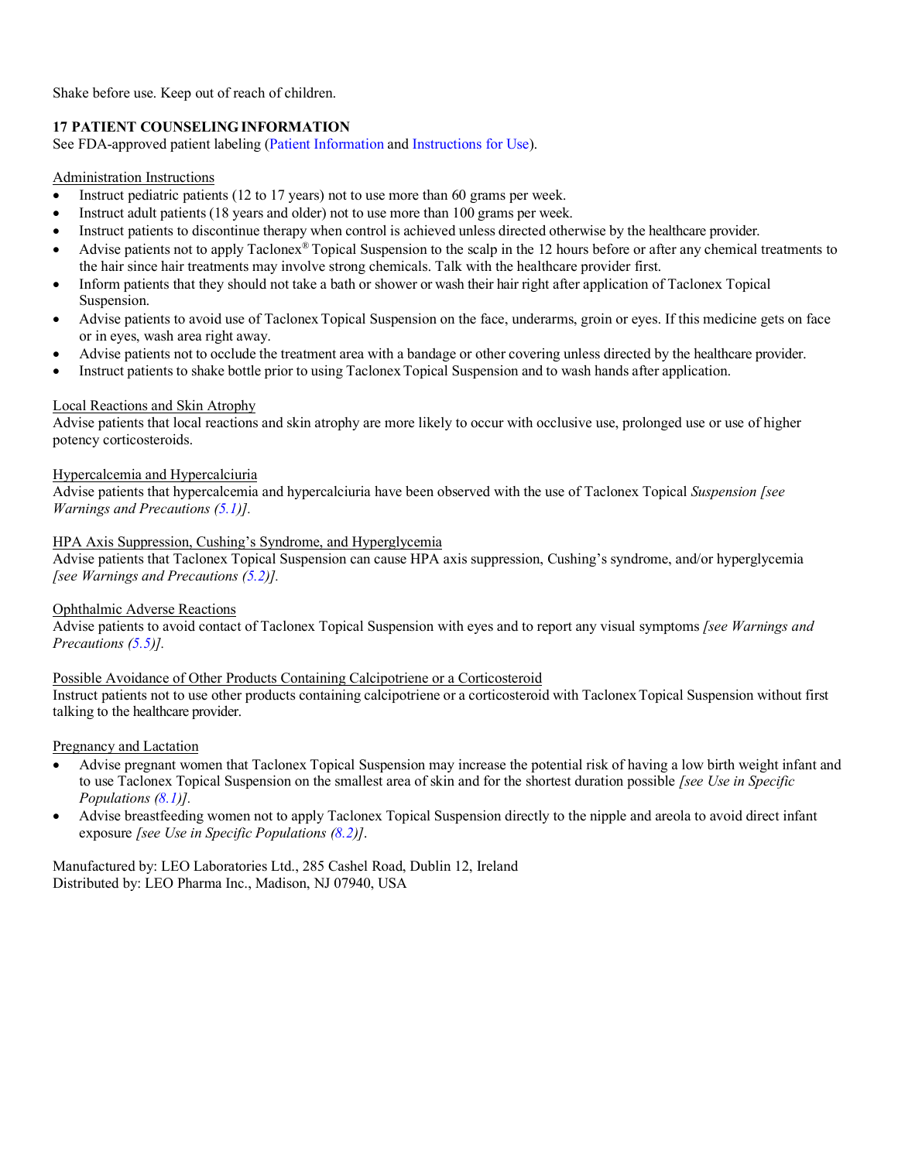Shake before use. Keep out of reach of children.

## <span id="page-9-0"></span>**17 PATIENT COUNSELINGINFORMATION**

See FDA-approved patient labeling [\(Patient Information](#page-10-0) and [Instructions for Use\)](#page-12-0).

## Administration Instructions

- Instruct pediatric patients (12 to 17 years) not to use more than 60 grams per week.
- Instruct adult patients (18 years and older) not to use more than 100 grams per week.
- Instruct patients to discontinue therapy when control is achieved unless directed otherwise by the healthcare provider.
- Advise patients not to apply Taclonex<sup>®</sup> Topical Suspension to the scalp in the 12 hours before or after any chemical treatments to the hair since hair treatments may involve strong chemicals. Talk with the healthcare provider first.
- Inform patients that they should not take a bath or shower or wash their hair right after application of Taclonex Topical Suspension.
- Advise patients to avoid use of Taclonex Topical Suspension on the face, underarms, groin or eyes. If this medicine gets on face or in eyes, wash area right away.
- Advise patients not to occlude the treatment area with a bandage or other covering unless directed by the healthcare provider.
- Instruct patients to shake bottle prior to using TaclonexTopical Suspension and to wash hands after application.

## Local Reactions and Skin Atrophy

Advise patients that local reactions and skin atrophy are more likely to occur with occlusive use, prolonged use or use of higher potency corticosteroids.

## Hypercalcemia and Hypercalciuria

Advise patients that hypercalcemia and hypercalciuria have been observed with the use of Taclonex Topical *Suspension [see Warnings and Precautions [\(5.1\)](#page-1-5)].*

## HPA Axis Suppression, Cushing's Syndrome, and Hyperglycemia

Advise patients that Taclonex Topical Suspension can cause HPA axis suppression, Cushing's syndrome, and/or hyperglycemia *[see Warnings and Precautions [\(5.2\)](#page-1-6)].*

## Ophthalmic Adverse Reactions

Advise patients to avoid contact of Taclonex Topical Suspension with eyes and to report any visual symptoms *[see Warnings and Precautions [\(5.5\)](#page-2-2)].*

## Possible Avoidance of Other Products Containing Calcipotriene or a Corticosteroid

Instruct patients not to use other products containing calcipotriene or a corticosteroid with TaclonexTopical Suspension without first talking to the healthcare provider.

#### Pregnancy and Lactation

- Advise pregnant women that Taclonex Topical Suspension may increase the potential risk of having a low birth weight infant and to use Taclonex Topical Suspension on the smallest area of skin and for the shortest duration possible *[see Use in Specific Populations [\(8.1\)](#page-3-2)].*
- Advise breastfeeding women not to apply Taclonex Topical Suspension directly to the nipple and areola to avoid direct infant exposure *[see Use in Specific Populations [\(8.2\)](#page-4-0)]*.

Manufactured by: LEO Laboratories Ltd., 285 Cashel Road, Dublin 12, Ireland Distributed by: LEO Pharma Inc., Madison, NJ 07940, USA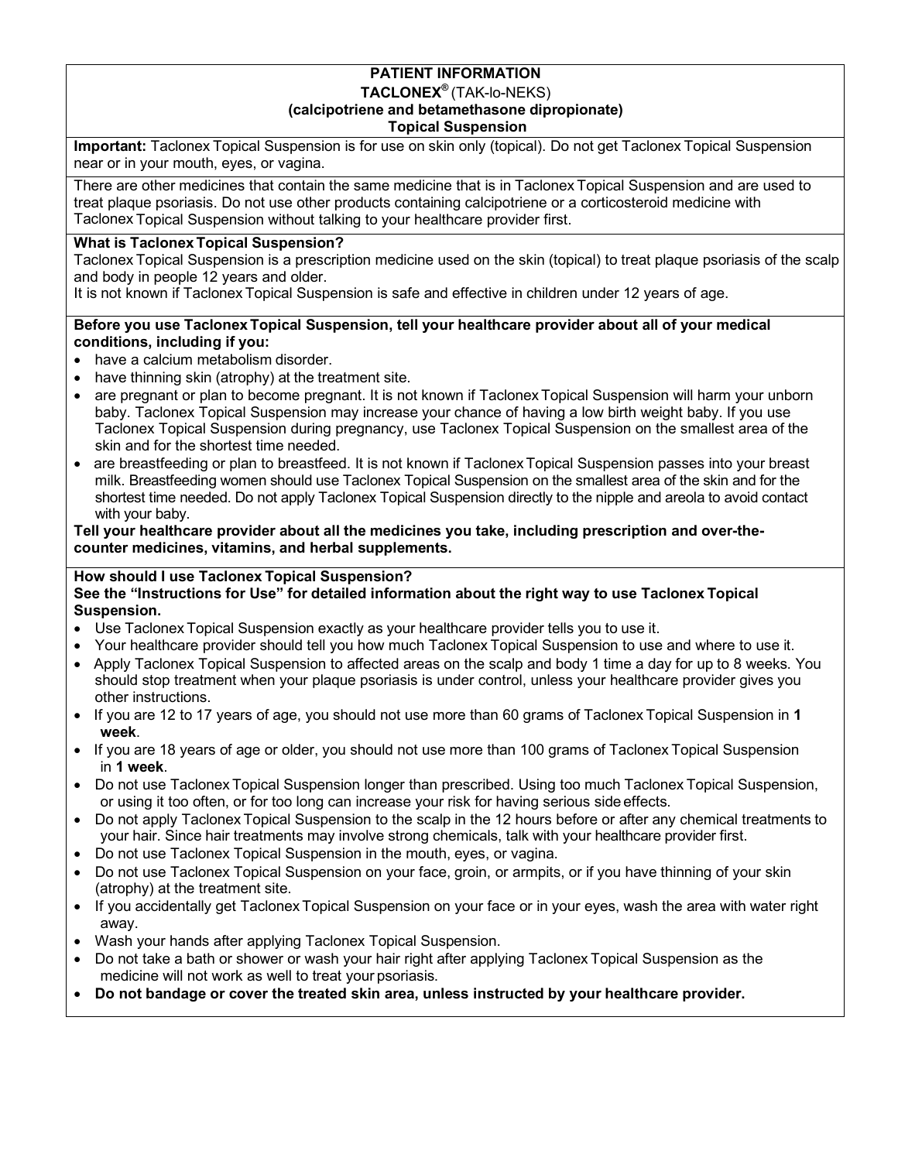## **PATIENT INFORMATION TACLONEX®** (TAK-lo-NEKS) **(calcipotriene and betamethasone dipropionate) Topical Suspension**

<span id="page-10-0"></span>**Important:** Taclonex Topical Suspension is for use on skin only (topical). Do not get Taclonex Topical Suspension near or in your mouth, eyes, or vagina.

There are other medicines that contain the same medicine that is in Taclonex Topical Suspension and are used to treat plaque psoriasis. Do not use other products containing calcipotriene or a corticosteroid medicine with Taclonex Topical Suspension without talking to your healthcare provider first.

## **What is Taclonex Topical Suspension?**

Taclonex Topical Suspension is a prescription medicine used on the skin (topical) to treat plaque psoriasis of the scalp and body in people 12 years and older.

It is not known if Taclonex Topical Suspension is safe and effective in children under 12 years of age.

# **Before you use Taclonex Topical Suspension, tell your healthcare provider about all of your medical conditions, including if you:**

- have a calcium metabolism disorder.
- have thinning skin (atrophy) at the treatment site.
- are pregnant or plan to become pregnant. It is not known if Taclonex Topical Suspension will harm your unborn baby. Taclonex Topical Suspension may increase your chance of having a low birth weight baby. If you use Taclonex Topical Suspension during pregnancy, use Taclonex Topical Suspension on the smallest area of the skin and for the shortest time needed.
- are breastfeeding or plan to breastfeed. It is not known if Taclonex Topical Suspension passes into your breast milk. Breastfeeding women should use Taclonex Topical Suspension on the smallest area of the skin and for the shortest time needed. Do not apply Taclonex Topical Suspension directly to the nipple and areola to avoid contact with your baby.

**Tell your healthcare provider about all the medicines you take, including prescription and over-thecounter medicines, vitamins, and herbal supplements.**

# **How should I use Taclonex Topical Suspension?**

## **See the "Instructions for Use" for detailed information about the right way to use Taclonex Topical Suspension.**

- Use Taclonex Topical Suspension exactly as your healthcare provider tells you to use it.
- Your healthcare provider should tell you how much Taclonex Topical Suspension to use and where to use it.
- Apply Taclonex Topical Suspension to affected areas on the scalp and body 1 time a day for up to 8 weeks. You should stop treatment when your plaque psoriasis is under control, unless your healthcare provider gives you other instructions.
- If you are 12 to 17 years of age, you should not use more than 60 grams of Taclonex Topical Suspension in **1 week**.
- If you are 18 years of age or older, you should not use more than 100 grams of Taclonex Topical Suspension in **1 week**.
- Do not use Taclonex Topical Suspension longer than prescribed. Using too much Taclonex Topical Suspension, or using it too often, or for too long can increase your risk for having serious side effects.
- Do not apply Taclonex Topical Suspension to the scalp in the 12 hours before or after any chemical treatments to your hair. Since hair treatments may involve strong chemicals, talk with your healthcare provider first.
- Do not use Taclonex Topical Suspension in the mouth, eyes, or vagina.
- Do not use Taclonex Topical Suspension on your face, groin, or armpits, or if you have thinning of your skin (atrophy) at the treatment site.
- If you accidentally get Taclonex Topical Suspension on your face or in your eyes, wash the area with water right away.
- Wash your hands after applying Taclonex Topical Suspension.
- Do not take a bath or shower or wash your hair right after applying Taclonex Topical Suspension as the medicine will not work as well to treat your psoriasis.
- **Do not bandage or cover the treated skin area, unless instructed by your healthcare provider.**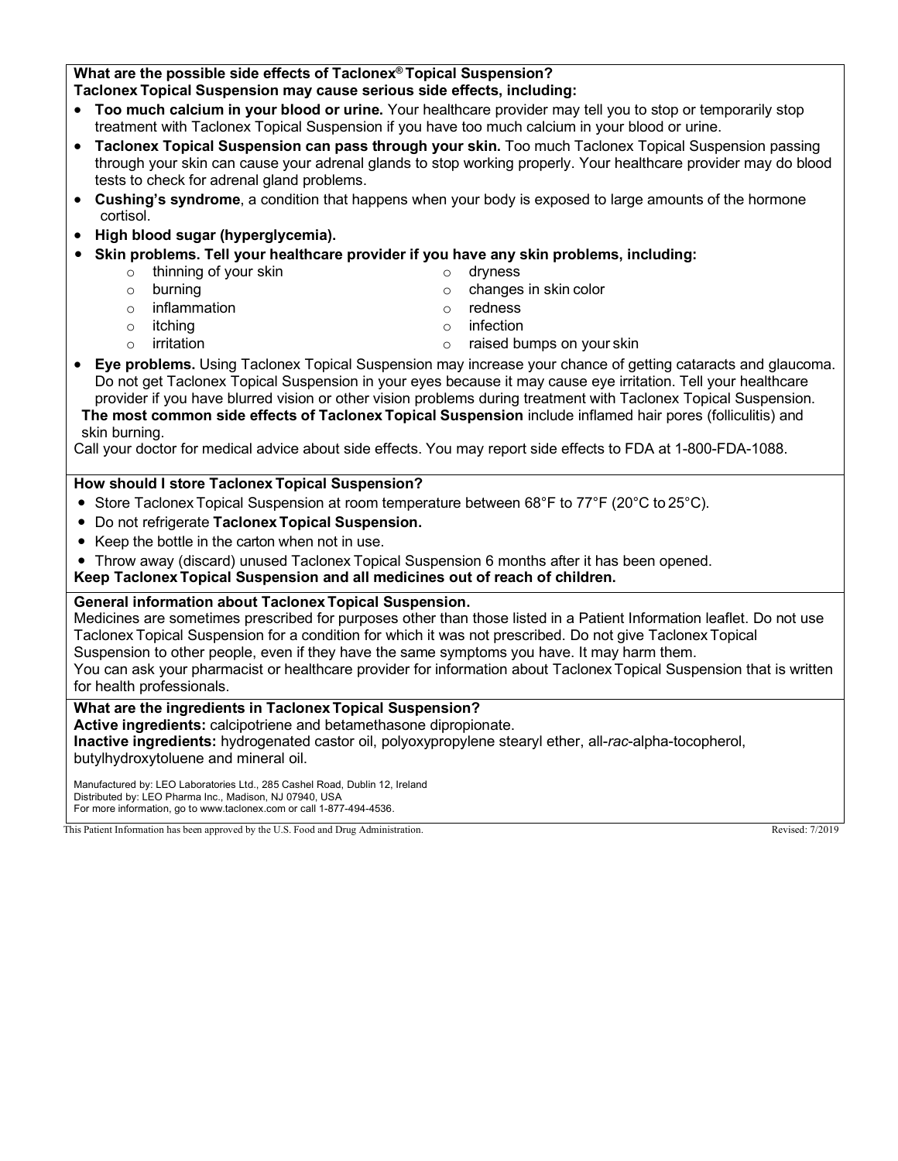## **What are the possible side effects of Taclonex® Topical Suspension? Taclonex Topical Suspension may cause serious side effects, including:**

# • **Too much calcium in your blood or urine.** Your healthcare provider may tell you to stop or temporarily stop

- treatment with Taclonex Topical Suspension if you have too much calcium in your blood or urine.
- **Taclonex Topical Suspension can pass through your skin.** Too much Taclonex Topical Suspension passing through your skin can cause your adrenal glands to stop working properly. Your healthcare provider may do blood tests to check for adrenal gland problems.
- **Cushing's syndrome**, a condition that happens when your body is exposed to large amounts of the hormone cortisol.
- **High blood sugar (hyperglycemia).**
- **Skin problems. Tell your healthcare provider if you have any skin problems, including:**
	- o thinning of your skin o dryness
		-
	- o burning o changes in skin color<br>
	o inflammation o changes in skin color<br>
	o redness o inflammation o redness<br>
	o itching o redness<br>
	o infection
	-
	-
- 
- 
- o itching o infection
- o irritation o raised bumps on your skin
- **Eye problems.** Using Taclonex Topical Suspension may increase your chance of getting cataracts and glaucoma. Do not get Taclonex Topical Suspension in your eyes because it may cause eye irritation. Tell your healthcare provider if you have blurred vision or other vision problems during treatment with Taclonex Topical Suspension. **The most common side effects of Taclonex Topical Suspension** include inflamed hair pores (folliculitis) and skin burning.

Call your doctor for medical advice about side effects. You may report side effects to FDA at 1-800-FDA-1088.

# **How should I store Taclonex Topical Suspension?**

- Store Taclonex Topical Suspension at room temperature between 68°F to 77°F (20°C to 25°C).
- Do not refrigerate **Taclonex Topical Suspension.**
- Keep the bottle in the carton when not in use.
- Throw away (discard) unused Taclonex Topical Suspension 6 months after it has been opened.

**Keep Taclonex Topical Suspension and all medicines out of reach of children.**

## **General information about Taclonex Topical Suspension.**

Medicines are sometimes prescribed for purposes other than those listed in a Patient Information leaflet. Do not use Taclonex Topical Suspension for a condition for which it was not prescribed. Do not give Taclonex Topical Suspension to other people, even if they have the same symptoms you have. It may harm them.

You can ask your pharmacist or healthcare provider for information about TaclonexTopical Suspension that is written for health professionals.

## **What are the ingredients in Taclonex Topical Suspension?**

**Active ingredients:** calcipotriene and betamethasone dipropionate.

**Inactive ingredients:** hydrogenated castor oil, polyoxypropylene stearyl ether, all-*rac*-alpha-tocopherol, butylhydroxytoluene and mineral oil.

Manufactured by: LEO Laboratories Ltd., 285 Cashel Road, Dublin 12, Ireland Distributed by: LEO Pharma Inc., Madison, NJ 07940, USA For more information, go to [www.taclonex.com](http://www.taclonex.com/) or call 1-877-494-4536.

This Patient Information has been approved by the U.S. Food and Drug Administration. Revised: 7/2019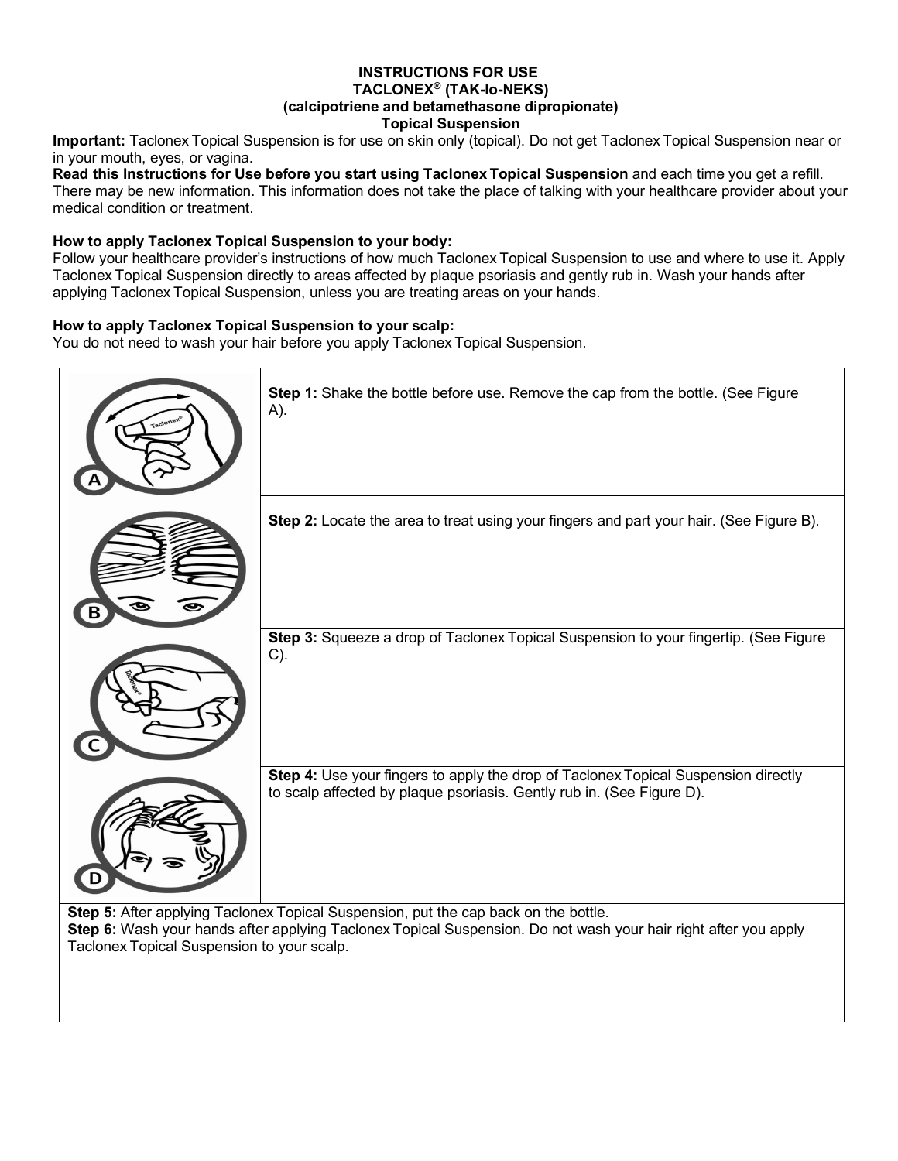# **INSTRUCTIONS FOR USE TACLONEX® (TAK-lo-NEKS)**

# **(calcipotriene and betamethasone dipropionate)**

## **Topical Suspension**

<span id="page-12-0"></span>**Important:** Taclonex Topical Suspension is for use on skin only (topical). Do not get Taclonex Topical Suspension near or in your mouth, eyes, or vagina.

**Read this Instructions for Use before you start using Taclonex Topical Suspension** and each time you get a refill. There may be new information. This information does not take the place of talking with your healthcare provider about your medical condition or treatment.

## **How to apply Taclonex Topical Suspension to your body:**

Follow your healthcare provider's instructions of how much Taclonex Topical Suspension to use and where to use it. Apply Taclonex Topical Suspension directly to areas affected by plaque psoriasis and gently rub in. Wash your hands after applying Taclonex Topical Suspension, unless you are treating areas on your hands.

## **How to apply Taclonex Topical Suspension to your scalp:**

You do not need to wash your hair before you apply Taclonex Topical Suspension.